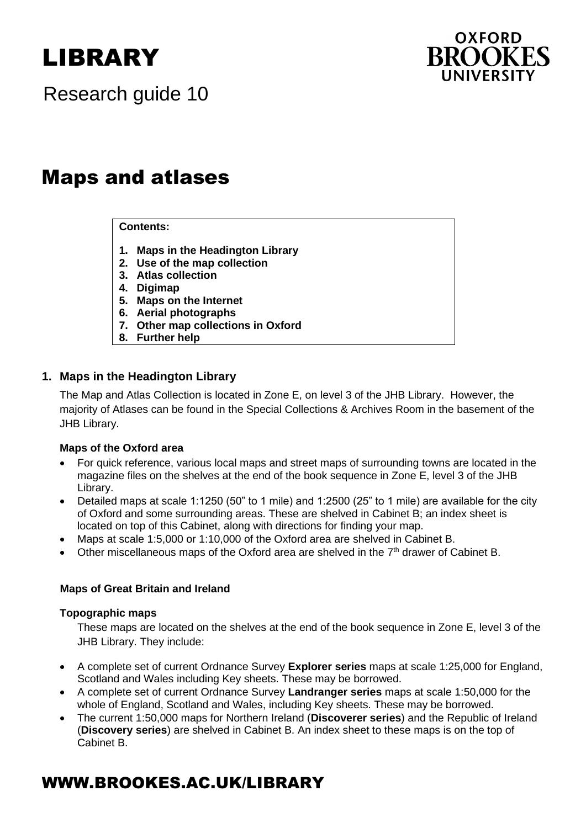# LIBRARY



Research guide 10

# Maps and atlases  $\cdots$  p  $\cdots$

#### **Contents:**

- **1. Maps in the Headington Library**
- **2. Use of the map collection**
- **3. Atlas collection**
- **4. Digimap**
- **5. Maps on the Internet**
- **6. Aerial photographs**
- **7. Other map collections in Oxford**
- **8. Further help**

#### **1. Maps in the Headington Library**

The Map and Atlas Collection is located in Zone E, on level 3 of the JHB Library. However, the majority of Atlases can be found in the Special Collections & Archives Room in the basement of the JHB Library.

#### **Maps of the Oxford area**

- For quick reference, various local maps and street maps of surrounding towns are located in the magazine files on the shelves at the end of the book sequence in Zone E, level 3 of the JHB Library.
- Detailed maps at scale 1:1250 (50" to 1 mile) and 1:2500 (25" to 1 mile) are available for the city of Oxford and some surrounding areas. These are shelved in Cabinet B; an index sheet is located on top of this Cabinet, along with directions for finding your map.
- Maps at scale 1:5,000 or 1:10,000 of the Oxford area are shelved in Cabinet B.
- Other miscellaneous maps of the Oxford area are shelved in the  $7<sup>th</sup>$  drawer of Cabinet B.

#### **Maps of Great Britain and Ireland**

#### **Topographic maps**

These maps are located on the shelves at the end of the book sequence in Zone E, level 3 of the JHB Library. They include:

- A complete set of current Ordnance Survey **Explorer series** maps at scale 1:25,000 for England, Scotland and Wales including Key sheets. These may be borrowed.
- A complete set of current Ordnance Survey **Landranger series** maps at scale 1:50,000 for the whole of England, Scotland and Wales, including Key sheets. These may be borrowed.
- The current 1:50,000 maps for Northern Ireland (**Discoverer series**) and the Republic of Ireland (**Discovery series**) are shelved in Cabinet B. An index sheet to these maps is on the top of Cabinet B.

# WWW.BROOKES.AC.UK/LIBRARY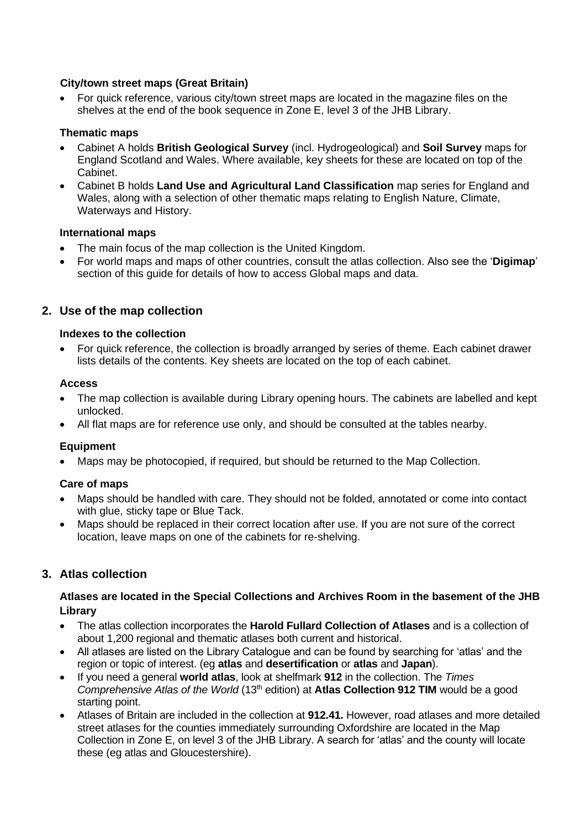#### **City/town street maps (Great Britain)**

• For quick reference, various city/town street maps are located in the magazine files on the shelves at the end of the book sequence in Zone E, level 3 of the JHB Library.

#### **Thematic maps**

- Cabinet A holds **British Geological Survey** (incl. Hydrogeological) and **Soil Survey** maps for England Scotland and Wales. Where available, key sheets for these are located on top of the Cabinet.
- Cabinet B holds **Land Use and Agricultural Land Classification** map series for England and Wales, along with a selection of other thematic maps relating to English Nature, Climate, Waterways and History.

#### **International maps**

- The main focus of the map collection is the United Kingdom.
- For world maps and maps of other countries, consult the atlas collection. Also see the '**Digimap**' section of this guide for details of how to access Global maps and data.

## **2. Use of the map collection**

#### **Indexes to the collection**

• For quick reference, the collection is broadly arranged by series of theme. Each cabinet drawer lists details of the contents. Key sheets are located on the top of each cabinet.

#### **Access**

- The map collection is available during Library opening hours. The cabinets are labelled and kept unlocked.
- All flat maps are for reference use only, and should be consulted at the tables nearby.

#### **Equipment**

• Maps may be photocopied, if required, but should be returned to the Map Collection.

#### **Care of maps**

- Maps should be handled with care. They should not be folded, annotated or come into contact with glue, sticky tape or Blue Tack.
- Maps should be replaced in their correct location after use. If you are not sure of the correct location, leave maps on one of the cabinets for re-shelving.

#### **3. Atlas collection**

#### **Atlases are located in the Special Collections and Archives Room in the basement of the JHB Library**

- The atlas collection incorporates the **Harold Fullard Collection of Atlases** and is a collection of about 1,200 regional and thematic atlases both current and historical.
- All atlases are listed on the Library Catalogue and can be found by searching for 'atlas' and the region or topic of interest. (eg **atlas** and **desertification** or **atlas** and **Japan**).
- If you need a general **world atlas**, look at shelfmark **912** in the collection. The *Times Comprehensive Atlas of the World* (13<sup>th</sup> edition) at **Atlas Collection 912 TIM** would be a good starting point.
- Atlases of Britain are included in the collection at **912.41.** However, road atlases and more detailed street atlases for the counties immediately surrounding Oxfordshire are located in the Map Collection in Zone E, on level 3 of the JHB Library. A search for 'atlas' and the county will locate these (eg atlas and Gloucestershire).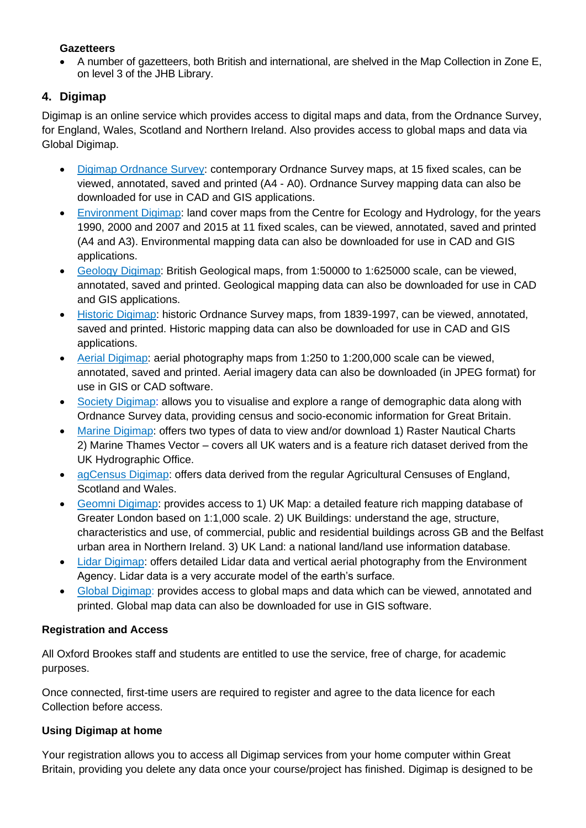#### **Gazetteers**

• A number of gazetteers, both British and international, are shelved in the Map Collection in Zone E, on level 3 of the JHB Library.

# **4. Digimap**

Digimap is an online service which provides access to digital maps and data, from the Ordnance Survey, for England, Wales, Scotland and Northern Ireland. Also provides access to global maps and data via Global Digimap.

- Digimap [Ordnance](https://digimap.edina.ac.uk/os) Survey: contemporary Ordnance Survey maps, at 15 fixed scales, can be viewed, annotated, saved and printed (A4 - A0). Ordnance Survey mapping data can also be downloaded for use in CAD and GIS applications.
- [Environment](http://digimap.edina.ac.uk/environment) Digimap: land cover maps from the Centre for Ecology and Hydrology, for the years 1990, 2000 and 2007 and 2015 at 11 fixed scales, can be viewed, annotated, saved and printed (A4 and A3). Environmental mapping data can also be downloaded for use in CAD and GIS applications.
- Geology [Digimap:](http://digimap.edina.ac.uk/geology) British Geological maps, from 1:50000 to 1:625000 scale, can be viewed, annotated, saved and printed. Geological mapping data can also be downloaded for use in CAD and GIS applications.
- Historic [Digimap:](http://digimap.edina.ac.uk/historic) historic Ordnance Survey maps, from 1839-1997, can be viewed, annotated, saved and printed. Historic mapping data can also be downloaded for use in CAD and GIS applications.
- Aerial [Digimap:](http://digimap.edina.ac.uk/aerial) aerial photography maps from 1:250 to 1:200,000 scale can be viewed, annotated, saved and printed. Aerial imagery data can also be downloaded (in JPEG format) for use in GIS or CAD software.
- Society [Digimap:](https://digimap.edina.ac.uk/society) allows you to visualise and explore a range of demographic data along with Ordnance Survey data, providing census and socio-economic information for Great Britain.
- [Marine Digimap:](https://digimap.edina.ac.uk/marine) offers two types of data to view and/or download 1) Raster Nautical Charts 2) Marine Thames Vector – covers all UK waters and is a feature rich dataset derived from the UK Hydrographic Office.
- [agCensus Digimap:](https://digimap.edina.ac.uk/agcensus) offers data derived from the regular Agricultural Censuses of England, Scotland and Wales.
- [Geomni Digimap:](https://digimap.edina.ac.uk/geomni) provides access to 1) UK Map: a detailed feature rich mapping database of Greater London based on 1:1,000 scale. 2) UK Buildings: understand the age, structure, characteristics and use, of commercial, public and residential buildings across GB and the Belfast urban area in Northern Ireland. 3) UK Land: a national land/land use information database.
- [Lidar Digimap:](https://digimap.edina.ac.uk/lidar) offers detailed Lidar data and vertical aerial photography from the Environment Agency. Lidar data is a very accurate model of the earth's surface.
- Global [Digimap:](https://digimap.edina.ac.uk/global) provides access to global maps and data which can be viewed, annotated and printed. Global map data can also be downloaded for use in GIS software.

# **Registration and Access**

All Oxford Brookes staff and students are entitled to use the service, free of charge, for academic purposes.

Once connected, first-time users are required to register and agree to the data licence for each Collection before access.

# **Using Digimap at home**

Your registration allows you to access all Digimap services from your home computer within Great Britain, providing you delete any data once your course/project has finished. Digimap is designed to be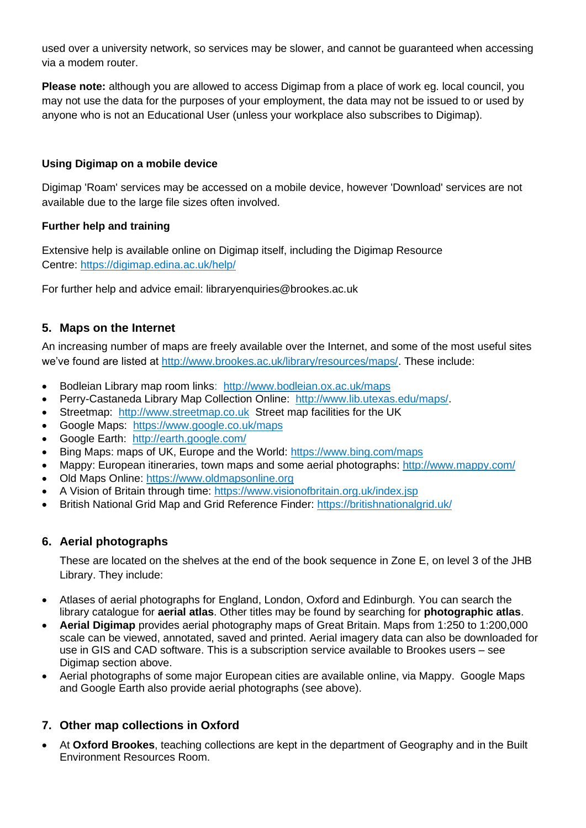used over a university network, so services may be slower, and cannot be guaranteed when accessing via a modem router.

**Please note:** although you are allowed to access Digimap from a place of work eg. local council, you may not use the data for the purposes of your employment, the data may not be issued to or used by anyone who is not an Educational User (unless your workplace also subscribes to Digimap).

#### **Using Digimap on a mobile device**

Digimap 'Roam' services may be accessed on a mobile device, however 'Download' services are not available due to the large file sizes often involved.

#### **Further help and training**

Extensive help is available online on Digimap itself, including the Digimap Resource Centre: <https://digimap.edina.ac.uk/help/>

For further help and advice email: libraryenquiries@brookes.ac.uk

## **5. Maps on the Internet**

An increasing number of maps are freely available over the Internet, and some of the most useful sites we've found are listed at [http://www.brookes.ac.uk/library/resources/maps/.](http://www.brookes.ac.uk/library/resources/maps/) These include:

- Bodleian Library map room links: <http://www.bodleian.ox.ac.uk/maps>
- [Perry-Castaneda Library Map Collection](file:///C:/My%20Documents/Mapsnew.doc) Online: [http://www.lib.utexas.edu/maps/.](http://www.lib.utexas.edu/maps/)
- Streetmap: [http://www.streetmap.co.uk](http://www.streetmap.co.uk/) Street map facilities for the UK
- Google Maps: <https://www.google.co.uk/maps>
- Google Earth: <http://earth.google.com/>
- Bing Maps: maps of UK, Europe and the World:<https://www.bing.com/maps>
- Mappy: European itineraries, town maps and some aerial photographs: <http://www.mappy.com/>
- Old Maps Online: [https://www.oldmapsonline.org](https://www.oldmapsonline.org/)
- A Vision of Britain through time:<https://www.visionofbritain.org.uk/index.jsp>
- British National Grid Map and Grid Reference Finder:<https://britishnationalgrid.uk/>

#### **6. Aerial photographs**

These are located on the shelves at the end of the book sequence in Zone E, on level 3 of the JHB Library. They include:

- Atlases of aerial photographs for England, London, Oxford and Edinburgh. You can search the library catalogue for **aerial atlas**. Other titles may be found by searching for **photographic atlas**.
- **Aerial Digimap** provides aerial photography maps of Great Britain. Maps from 1:250 to 1:200,000 scale can be viewed, annotated, saved and printed. Aerial imagery data can also be downloaded for use in GIS and CAD software. This is a subscription service available to Brookes users – see Digimap section above.
- Aerial photographs of some major European cities are available online, via Mappy. Google Maps and Google Earth also provide aerial photographs (see above).

#### **7. Other map collections in Oxford**

• At **Oxford Brookes**, teaching collections are kept in the department of Geography and in the Built Environment Resources Room.